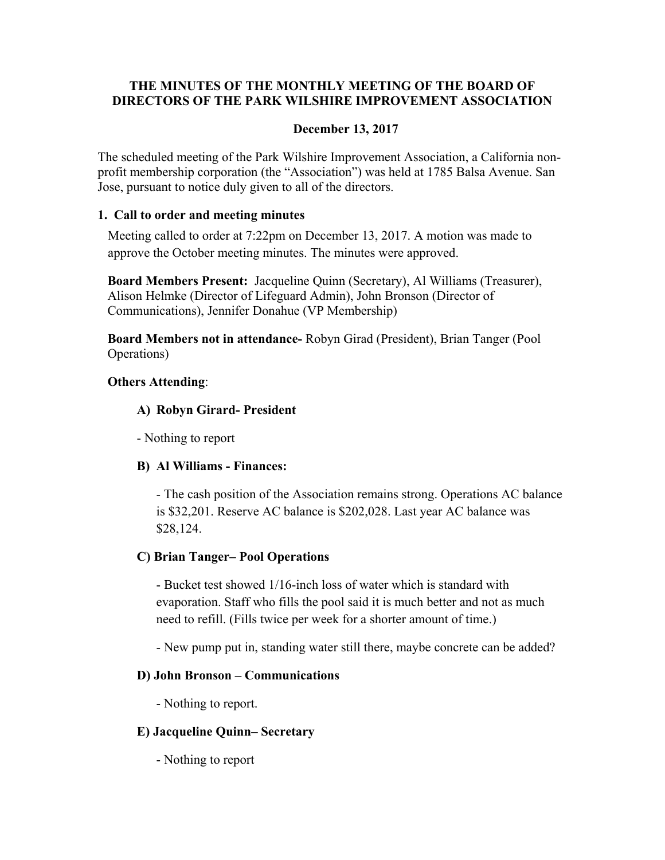# **THE MINUTES OF THE MONTHLY MEETING OF THE BOARD OF DIRECTORS OF THE PARK WILSHIRE IMPROVEMENT ASSOCIATION**

## **December 13, 2017**

The scheduled meeting of the Park Wilshire Improvement Association, a California nonprofit membership corporation (the "Association") was held at 1785 Balsa Avenue. San Jose, pursuant to notice duly given to all of the directors.

#### **1. Call to order and meeting minutes**

Meeting called to order at 7:22pm on December 13, 2017. A motion was made to approve the October meeting minutes. The minutes were approved.

**Board Members Present:** Jacqueline Quinn (Secretary), Al Williams (Treasurer), Alison Helmke (Director of Lifeguard Admin), John Bronson (Director of Communications), Jennifer Donahue (VP Membership)

**Board Members not in attendance-** Robyn Girad (President), Brian Tanger (Pool Operations)

## **Others Attending**:

## **A) Robyn Girard- President**

- Nothing to report

# **B) Al Williams - Finances:**

- The cash position of the Association remains strong. Operations AC balance is \$32,201. Reserve AC balance is \$202,028. Last year AC balance was \$28,124.

# **C) Brian Tanger– Pool Operations**

 - Bucket test showed 1/16-inch loss of water which is standard with evaporation. Staff who fills the pool said it is much better and not as much need to refill. (Fills twice per week for a shorter amount of time.)

- New pump put in, standing water still there, maybe concrete can be added?

#### **D) John Bronson – Communications**

- Nothing to report.

#### **E) Jacqueline Quinn– Secretary**

- Nothing to report